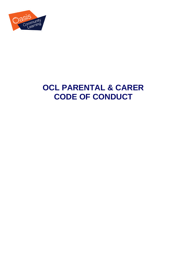

# **OCL PARENTAL & CARER CODE OF CONDUCT**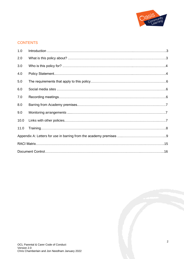

# **CONTENTS**

| 1.0  |  |
|------|--|
| 2.0  |  |
| 3.0  |  |
| 4.0  |  |
| 5.0  |  |
| 6.0  |  |
| 7.0  |  |
| 8.0  |  |
| 9.0  |  |
| 10.0 |  |
| 11.0 |  |
|      |  |
|      |  |
|      |  |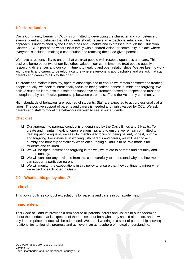# **1.0 Introduction**

Oasis Community Learning (OCL) is committed to developing the character and competence of every student and believes that all students should receive an exceptional education. This approach is underpinned by the Oasis ethos and 9 habits and expressed through the Education Charter. OCL is part of the wider Oasis family with a shared vision for community, a place where everyone is included, making a contribution and reaching their God-given potential

We have a responsibility to ensure that we treat people with respect, openness and care. This desire is borne out of two of our five ethos values – our commitment to treat people equally, respecting differences and our commitment to healthy and open relationships. We are keen to work with parents and carers to develop a culture where everyone is approachable and we ask that staff, parents and carers to all play their part.

To create and maintain healthy, open relationships and to ensure we remain committed to treating people equally, we seek to intentionally focus on being patient, honest, humble and forgiving. We believe students learn best in a safe and supportive environment based on respect and trust and underpinned by an effective partnership between parents, staff and the Academy community.

High standards of behaviour are required of students. Staff are expected to act professionally at all times. The positive support of parents and carers is needed and highly valued by OCL. We ask parents and staff to model the behaviour we wish to see in our students.

# **Checklist**

- ❑ Our approach to parental conduct is underpinned by the Oasis Ethos and 9 Habits. To create and maintain healthy, open relationships and to ensure we remain committed to treating people equally, we seek to intentionally focus on being patient, honest, humble and forgiving. For instance, in working with parents and carers, we will need to act humbly and honestly particularly when encouraging all adults to be role models for students and children.
- ❑ We will be open, patient and forgiving in the way we relate to parents and act fairly and proportionately.
- ❑ We will consider any deviance from this code carefully to understand why and how we can support a particular parent.
- ❑ We will monitor the expectations in this policy to ensure that they continue to mirror what we expect of each other in Oasis

#### **2.0 What is this policy about?**

#### **In brief**

This policy outlines conduct expectations for parents and carers in our academies.

#### **In more detail**

This Code of Conduct provides a reminder to all parents, carers and visitors to our academies about the conduct that is expected of them. It sets out both what they should aim to do, and how any inappropriate conduct will be addressed. We are all working in a spirit of partnership allowing relationships to flourish, progress and achieve in an atmosphere of mutual understanding.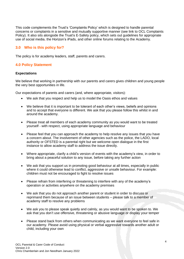This code complements the Trust's 'Complaints Policy' which is designed to handle parental concerns or complaints in a sensitive and mutually supportive manner (see link to OCL Complaints Policy). It also sits alongside the Trust's E-Safety policy, which sets out guidelines for appropriate use of social media, the Horizon's iPads, and other online forums relating to the Academy.

# **3.0 Who is this policy for?**

The policy is for academy leaders, staff, parents and carers.

# **4.0 Policy Statement**

# **Expectations**

We believe that working in partnership with our parents and carers gives children and young people the very best opportunities in life.

Our expectations of parents and carers (and, where appropriate, visitors):

- We ask that you respect and help us to model the Oasis ethos and values
- We believe that it is important to be tolerant of each other's views, beliefs and opinions and to accept that everyone is different. We ask that you please follow this whilst in and around the academy.
- Please treat all members of each academy community as you would want to be treated yourself - with respect, using appropriate language and behaviour
- Please feel that you can approach the academy to help resolve any issues that you have a concern about. The involvement of other agencies such as the police, the LADO, local authority or OFSTED is a parental right but we welcome open dialogue in the first instance to allow academy staff to address the issue directly.
- Where appropriate, clarify a child's version of events with the academy's view, in order to bring about a peaceful solution to any issue, before taking any further action
- We ask that you support us in promoting good behaviour at all times, especially in public where it could otherwise lead to conflict, aggressive or unsafe behaviour. For example: children must not be encouraged to fight to resolve issues
- Please refrain from interfering or threatening to interfere with any of the academy's operation or activities anywhere on the academy premises
- We ask that you do not approach another parent or student in order to discuss or reprimand them because of an issue between students – please talk to a member of academy staff to resolve any problems
- We ask you to please speak quietly and calmly, as you would want to be spoken to. We ask that you don't use offensive, threatening or abusive language or display your temper
- Please stand back from others when communicating as we want everyone to feel safe in our academy. Please avoid using physical or verbal aggressive towards another adult or child, including your own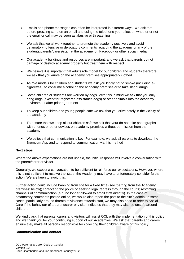- Emails and phone messages can often be interpreted in different ways. We ask that before pressing send on an email and using the telephone you reflect on whether or not the email or call may be seen as abusive or threatening
- We ask that we all work together to promote the academy positively and avoid defamatory, offensive or derogatory comments regarding the academy or any of the students/parents/carers/staff at the academy on Facebook or other social media
- Our academy buildings and resources are important, and we ask that parents do not damage or destroy academy property but treat them with respect
- We believe it is important that adults role model for our children and students therefore we ask that you arrive on the academy premises appropriately clothed
- As role models for children and students we ask you kindly not to smoke (including ecigarettes), to consume alcohol on the academy premises or to take illegal drugs
- Some children or students are worried by dogs. With this in mind we ask that you only bring dogs (except for registered assistance dogs) or other animals into the academy environment after prior agreement
- To keep our children and young people safe we ask that you drive safely in the vicinity of the academy
- To ensure that we keep all our children safe we ask that your do not take photographs with phones or other devices on academy premises without permission from the academy
- We believe that communication is key. For example, we ask all parents to download the Bromcom App and to respond to communication via this method

#### **Next steps**

Where the above expectations are not upheld, the initial response will involve a conversation with the parent/carer or visitor.

Generally, we expect a conversation to be sufficient to reinforce our expectations. However, where this is not sufficient to resolve the issue, the Academy may have to unfortunately consider further action. We are keen to avoid this.

Further action could include banning from site for a fixed time (see 'barring from the Academy premises' below); contacting the police or seeking legal redress through the courts; restricting channels of communication (e.g. no longer allowed to email staff directly). In the case of defamatory comments posted online, we would also report the post to the site's admin. In some cases, particularly around threats of violence towards staff, we may also need to refer to Social Care if the behaviour of a parent/carer or visitor indicates that they may also be unsafe around children.

We kindly ask that parents, carers and visitors will assist OCL with the implementation of this policy and we thank you for your continuing support of our Academies. We ask that parents and carers ensure they make all persons responsible for collecting their children aware of this policy.

#### **Communication and contact**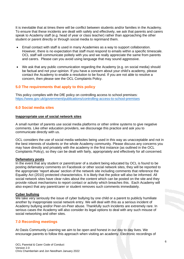It is inevitable that at times there will be conflict between students and/or families in the Academy. To ensure that these incidents are dealt with safely and effectively, we ask that parents and carers speak to Academy staff (e.g. head of year or class teacher) rather than approaching the other student or parent directly or through social media to reprimand them.

- Email contact with staff is used in many Academies as a way to support collaboration. However, there is no expectation that staff must respond to emails within a specific timescale. OCL staff will communicate politely with you and we really appreciate the same from parents and carers. Please can you avoid using language that may sound aggressive.
- We ask that any public communication regarding the Academy (e.g. on social media) should be factual and not your opinion. If you have a concern about your child's academy, please contact the Academy to enable a resolution to be found. If you are not able to resolve a concern, then please see the OCL Complaints Policy.

# **5.0 The requirements that apply to this policy**

This policy complies with the DfE policy on controlling access to school premises: <https://www.gov.uk/government/publications/controlling-access-to-school-premises>

# **6.0 Social media sites**

#### **Inappropriate use of social network sites**

A small number of parents use social media platforms or other online systems to give negative comments. Like other education providers, we discourage this practice and ask you to communicate directly with us.

OCL considers the use of social media websites being used in this way as unacceptable and not in the best interests of students or the whole Academy community. Please discuss any concerns you may have directly and privately with the academy in the first instance (as outlined in the OCL Complaints Policy), so they can be dealt with fairly, appropriately and effectively for all concerned.

#### **Defamatory posts**

In the event that any student or parent/carer of a student being educated by OCL is found to be posting defamatory comments on Facebook or other social network sites, they will be reported to the appropriate 'report abuse' section of the network site including comments that reference the Equality Act (2010) protected characteristics. It is likely that the police will also be informed. All social network sites have clear rules about the content which can be posted on the site and they provide robust mechanisms to report contact or activity which breaches this. Each Academy will also expect that any parent/carer or student removes such comments immediately.

#### **Cyber bullying**

We take very seriously the issue of cyber bullying by one child or a parent to publicly humiliate another by inappropriate social network entry. We will deal with this as a serious incident of Academy bullying and/or Peer-on-Peer abuse. Thankfully such incidents are extremely rare. In serious cases the Academy will also consider its legal options to deal with any such misuse of social networking and other sites.

#### **7.0 Recording meetings**

At Oasis Community Learning we aim to be open and honest in our day to day lives. We encourage parents to follow this approach when visiting an academy. Electronic recordings of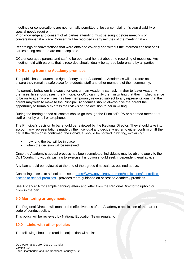meetings or conversations are not normally permitted unless a complainant's own disability or special needs require it.

Prior knowledge and consent of all parties attending must be sought before meetings or conversations take place. Consent will be recorded in any minutes of the meeting taken.

Recordings of conversations that were obtained covertly and without the informed consent of all parties being recorded are not acceptable.

OCL encourages parents and staff to be open and honest about the recording of meetings. Any meeting held with parents that is recorded should ideally be agreed beforehand by all parties.

# **8.0 Barring from the Academy premises**

The public has no automatic right of entry to our Academies. Academies will therefore act to ensure they remain a safe place for students, staff and other members of their community.

If a parent's behaviour is a cause for concern, an Academy can ask him/her to leave Academy premises. In serious cases, the Principal or OCL can notify them in writing that their implied licence to be on Academy premises has been temporarily revoked subject to any representations that the parent may wish to make to the Principal. Academies should always give the parent the opportunity to formally express their views on the decision to bar in writing.

During the barring period all contact should go through the Principal's PA or a named member of staff either by email or telephone.

The Principal's decision to bar should be reviewed by the Regional Director. They should take into account any representations made by the individual and decide whether to either confirm or lift the bar. If the decision is confirmed, the individual should be notified in writing, explaining:

- how long the bar will be in place
- when the decision will be reviewed

Once the Academy's appeal process has been completed, individuals may be able to apply to the Civil Courts. Individuals wishing to exercise this option should seek independent legal advice.

Any ban should be reviewed at the end of the agreed timescale as outlined above.

Controlling access to school premises - [https://www.gov.uk/government/publications/controlling](https://www.gov.uk/government/publications/controlling-access-to-school-premises)[access-to-school-premises](https://www.gov.uk/government/publications/controlling-access-to-school-premises) - provides more guidance on access to Academy premises.

See Appendix A for sample banning letters and letter from the Regional Director to uphold or dismiss the ban.

# **9.0 Monitoring arrangements**

The Regional Director will monitor the effectiveness of the Academy's application of the parent code of conduct policy.

This policy will be reviewed by National Education Team regularly.

# **10.0 Links with other policies**

The following should be read in conjunction with this: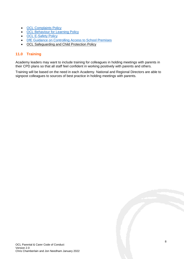- [OCL Complaints Policy](https://oasisit.sharepoint.com/sites/PP/PolicyPortalLibrary/Complaints%20Policy.pdf)
- OCL [Behaviour for Learning Policy](https://oasisit.sharepoint.com/sites/PP/PolicyPortalLibrary/Behaviour%20for%20Learning%20Policy.pdf)
- [OCL E-Safety Policy](https://oasisit.sharepoint.com/sites/PP/PolicyPortalLibrary/E-Safety%20Policy.pdf)
- [DfE Guidance on Controlling Access to School Premises](https://www.gov.uk/government/publications/controlling-access-to-school-premises)
- OCL Safeguarding and Child Protection Policy

# **11.0 Training**

Academy leaders may want to include training for colleagues in holding meetings with parents in their CPD plans so that all staff feel confident in working positively with parents and others.

Training will be based on the need in each Academy. National and Regional Directors are able to signpost colleagues to sources of best practice in holding meetings with parents.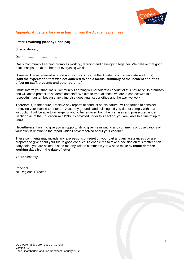

# **Appendix A: Letters for use in barring from the Academy premises**

**Letter 1 Warning (sent by Principal)**

Special delivery

Dear …………………………..

Oasis Community Learning promotes working, learning and developing together. We believe that good relationships are at the heart of everything we do.

However, I have received a report about your conduct at the Academy on **(enter date and time). (Add the expectation that was not adhered to and a factual summary of the incident and of its effect on staff, students and other parents.)** 

I must inform you that Oasis Community Learning will not tolerate conduct of this nature on its premises and will act to protect its students and staff. We aim to treat all those we are in contact with in a respectful manner, because anything else goes against our ethos and the way we work.

Therefore if, in the future, I receive any reports of conduct of this nature I will be forced to consider removing your licence to enter the Academy grounds and buildings. If you do not comply with that instruction I will be able to arrange for you to be removed from the premises and prosecuted under Section 547 of the Education Act 1996. If convicted under this section, you are liable to a fine of up to £500.

Nevertheless, I wish to give you an opportunity to give me in writing any comments or observations of your own in relation to the report which I have received about your conduct.

These comments may include any expressions of regret on your part and any assurances you are prepared to give about your future good conduct. To enable me to take a decision on this matter at an early point, you are asked to send me any written comments you wish to make by **(state date ten working days from the date of letter).** 

Yours sincerely,

**Principal** cc: Regional Director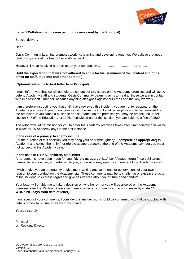

#### **Letter 2 Withdraw permission pending review (sent by the Principal)**

Special delivery

Dear

Oasis Community Learning promotes working, learning and developing together. We believe that good relationships are at the heart of everything we do.

However, I have received a report about your conduct on ………………………………… at……

#### **(Add the expectation that was not adhered to and a factual summary of the incident and of its effect on staff, students and other parents.)**

#### **(Optional reference to first letter from Principal)**

I must inform you that we will not tolerate conduct of this nature on the Academy premises and will act to defend Academy staff and students. Oasis Community Learning aims to treat all those we are in contact with in a respectful manner, because anything else goes against our ethos and the way we work.

I am therefore instructing you that until I have reviewed this incident, you are not to reappear on the Academy premises. If you do not comply with this instruction I shall arrange for you to be removed from the premises. If you cause a nuisance or disturbance on the premises you may be prosecuted under section 547 of the Education Act 1996; if convicted under this section, you are liable to a fine of £500.

The withdrawal of permission for you to enter the Academy premises takes effect immediately and will be in place for 15 Academy days in the first instance.

#### **In the case of a primary Academy include:**

For the duration of this decision you may bring your son(s)/daughter(s) **(complete as appropriate)** to Academy and collect them/him/her (delete as appropriate) at the end of the Academy day, but you must not go beyond the Academy gate.

#### **In the case of EY/KS1 children, also insert**

Arrangements have been made for your **(delete as appropriate)** son(s)/daughter(s) (insert child/rens names) to be collected, and returned to you, at the Academy gate by a member of the Academy's staff.

I wish to give you an opportunity to give me in writing any comments or observations of your own in relation to your conduct on the Academy site. These comments may be to challenge or explain the facts of the incident, to express regret and give assurances about your future good conduct.

Your letter will enable me to take a decision on whether or not you will be allowed on the Academy premises after the 15 days. Please send me any written comments you wish to make by (**date 10 WORKING days from date of letter).** 

If on receipt of your comments, I consider that my decision should be confirmed, you will be supplied with details of how to pursue a review of your case.

Yours sincerely

Principal cc: Regional Director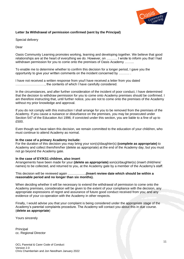

#### **Letter 3a Withdrawal of permission confirmed (sent by the Principal)**

Special delivery

Dear

Oasis Community Learning promotes working, learning and developing together. We believe that good relationships are at the heart of everything we do. However, on ………. I wrote to inform you that I had withdrawn permission for you to come onto the premises of Oasis Academy .........

To enable me to determine whether to confirm this decision for a longer period, I gave you the opportunity to give your written comments on the incident concerned by ………. .

I have not received a written response from you/I have received a letter from you dated ………………………, the contents of which I have carefully considered.

In the circumstances, and after further consideration of the incident of poor conduct, I have determined that the decision to withdraw permission for you to come onto Academy premises should be confirmed. I am therefore instructing that, until further notice, you are not to come onto the premises of the Academy without my prior knowledge and approval.

If you do not comply with this instruction I shall arrange for you to be removed from the premises of the Academy. If you cause a nuisance or disturbance on the premises, you may be prosecuted under Section 547 of the Education Act 1996; if convicted under this section, you are liable to a fine of up to £500.

Even though we have taken this decision, we remain committed to the education of your child/ren, who must continue to attend Academy as normal.

#### **In the case of a primary Academy include:**

For the duration of this decision you may bring your son(s)/daughter(s) **(complete as appropriate)** to Academy and collect them/him/her (delete as appropriate) at the end of the Academy day, but you must not go beyond the Academy gate.

#### **In the case of EY/KS1 children, also insert**

Arrangements have been made for your **(delete as appropriate)** son(s)/daughter(s) (insert child/rens' names) to be collected, and returned to you, at the Academy gate by a member of the Academy's staff.

#### This decision will be reviewed again ....................*(***insert review date which should be within a reasonable period and no longer than six months).**

When deciding whether it will be necessary to extend the withdrawal of permission to come onto the Academy premises, consideration will be given to the extent of your compliance with the decision, any appropriate expressions of regret and assurance of future good conduct received from you; and any evidence of your co-operation with the Academy in other respects.

Finally, I would advise you that your complaint is being considered under the appropriate stage of the Academy's parental complaints procedure. The Academy will contact you about this in due course. (**delete as appropriate**)

Yours sincerely

Principal cc. Regional Director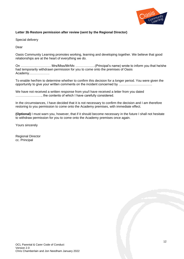

#### **Letter 3b Restore permission after review (sent by the Regional Director)**

Special delivery

Dear

Oasis Community Learning promotes working, learning and developing together. We believe that good relationships are at the heart of everything we do.

On ………………………. Mrs/Miss/Mr/Mx ………………(Principal's name) wrote to inform you that he/she had temporarily withdrawn permission for you to come onto the premises of Oasis Academy……………….

To enable her/him to determine whether to confirm this decision for a longer period. You were given the opportunity to give your written comments on the incident concerned by ............................

We have not received a written response from you/I have received a letter from you dated ……………………, the contents of which I have carefully considered.

In the circumstances, I have decided that it is not necessary to confirm the decision and I am therefore restoring to you permission to come onto the Academy premises, with immediate effect.

**(Optional)** I must warn you, however, that if it should become necessary in the future I shall not hesitate to withdraw permission for you to come onto the Academy premises once again.

Yours sincerely

Regional Director cc. Principal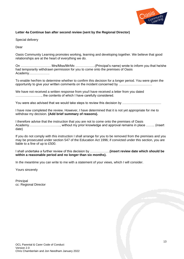

#### **Letter 4a Continue ban after second review (sent by the Regional Director)**

Special delivery

Dear

Oasis Community Learning promotes working, learning and developing together. We believe that good relationships are at the heart of everything we do.

On ………………………. Mrs/Miss/Mr/Mx ………………(Principal's name) wrote to inform you that he/she had temporarily withdrawn permission for you to come onto the premises of Oasis Academy……………….

To enable her/him to determine whether to confirm this decision for a longer period. You were given the opportunity to give your written comments on the incident concerned by .............................

We have not received a written response from you/I have received a letter from you dated ……………………, the contents of which I have carefully considered.

You were also advised that we would take steps to review this decision by ………………………………

I have now completed the review. However, I have determined that it is not yet appropriate for me to withdraw my decision. **(Add brief summary of reasons).** 

I therefore advise that the instruction that you are not to come onto the premises of Oasis Academy……………………….., without my prior knowledge and approval remains in place …….. (insert date)

If you do not comply with this instruction I shall arrange for you to be removed from the premises and you may be prosecuted under section 547 of the Education Act 1996; if convicted under this section, you are liable to a fine of up to £500.

I shall undertake a further review of this decision by ………………**(insert review date which should be within a reasonable period and no longer than six months).** 

In the meantime you can write to me with a statement of your views, which I will consider.

Yours sincerely

**Principal** cc: Regional Director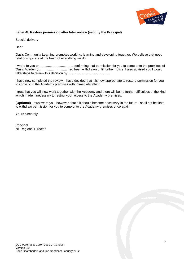

#### **Letter 4b Restore permission after later review (sent by the Principal)**

Special delivery

Dear

Oasis Community Learning promotes working, learning and developing together. We believe that good relationships are at the heart of everything we do.

I wrote to you on ………………………… confirming that permission for you to come onto the premises of Oasis Academy …………………….. had been withdrawn until further notice. I also advised you I would take steps to review this decision by ………………………………. .

I have now completed the review. I have decided that it is now appropriate to restore permission for you to come onto the Academy premises with immediate effect.

I trust that you will now work together with the Academy and there will be no further difficulties of the kind which made it necessary to restrict your access to the Academy premises.

**(Optional)** I must warn you, however, that if it should become necessary in the future I shall not hesitate to withdraw permission for you to come onto the Academy premises once again.

Yours sincerely

Principal cc: Regional Director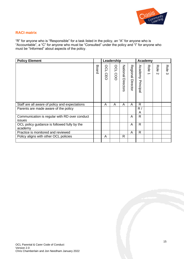

# **RACI matrix**

"R" for anyone who is "Responsible" for a task listed in the policy, an "A" for anyone who is "Accountable", a "C" for anyone who must be "Consulted" under the policy and "I" for anyone who must be "Informed" about aspects of the policy.

| <b>Policy Element</b>                                   |       | Leadership |                | Academy            |                   |                      |                       |                        |           |
|---------------------------------------------------------|-------|------------|----------------|--------------------|-------------------|----------------------|-----------------------|------------------------|-----------|
|                                                         | Board | OCL<br>CEO | <b>OCL COO</b> | National Directors | Regional Director | Academy<br>Principal | Role<br>$\rightarrow$ | Role<br>$\overline{v}$ | Role<br>ω |
| Staff are all aware of policy and expectations          |       | A          | A              | A                  | A                 | R                    |                       |                        |           |
| Parents are made aware of the policy                    |       |            |                |                    |                   | R/<br>A              |                       |                        |           |
| Communication is regular with RD over conduct<br>issues |       |            |                |                    | A                 | $\mathsf{R}$         |                       |                        |           |
| OCL policy guidance is followed fully by the<br>academy |       |            |                |                    | A                 | R                    |                       |                        |           |
| Practice is monitored and reviewed                      |       |            |                |                    | A                 | R                    |                       |                        |           |
| Policy aligns with other OCL policies                   |       | A          |                | $\mathsf{R}$       |                   |                      |                       |                        |           |
|                                                         |       |            |                |                    |                   |                      |                       |                        |           |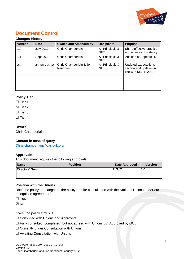

# **Document Control**

# **Changes History**

| <b>Version</b> | Date             | <b>Owned and Amended by</b>        | <b>Recipients</b>              | <b>Purpose</b>                                                         |
|----------------|------------------|------------------------------------|--------------------------------|------------------------------------------------------------------------|
| 1.0            | <b>July 2019</b> | Chris Chamberlain                  | All Principals &<br><b>NET</b> | Share effective practice<br>and ensure consistency                     |
| 1.1            | Sept 2019        | Chris Chamberlain                  | All Principals &<br><b>NET</b> | Addition of Appendix D                                                 |
| 2.0            | January 2022     | Chris Chamberlain & Jon<br>Needham | All Principals &<br><b>NET</b> | Updated expectations<br>section and updates in<br>line with KCSIE 2021 |
|                |                  |                                    |                                |                                                                        |
|                |                  |                                    |                                |                                                                        |
|                |                  |                                    |                                |                                                                        |

# **Policy Tier**

□ Tier 1

- $\boxtimes$  Tier 2
- □ Tier 3
- □ Tier 4

# **Owner**

Chris Chamberlain

#### **Contact in case of query**

[Chris.chamberlain@oasisuk.org](mailto:Chris.chamberlain@oasisuk.org)

# **Approvals**

This document requires the following approvals.

| <b>Name</b>      | Position | <b>Date Approved</b> | <b>Version</b> |  |  |
|------------------|----------|----------------------|----------------|--|--|
| Directors' Group |          | 31/1/22              | 2.0            |  |  |
|                  |          |                      |                |  |  |

# **Position with the Unions**

Does the policy or changes to the policy require consultation with the National Unions under our recognition agreement?

☐ Yes

☒ No

If yes, the policy status is:

- ☐ Consulted with Unions and Approved
- □ Fully consulted (completed) but not agreed with Unions but Approved by OCL
- □ Currently under Consultation with Unions
- □ Awaiting Consultation with Unions